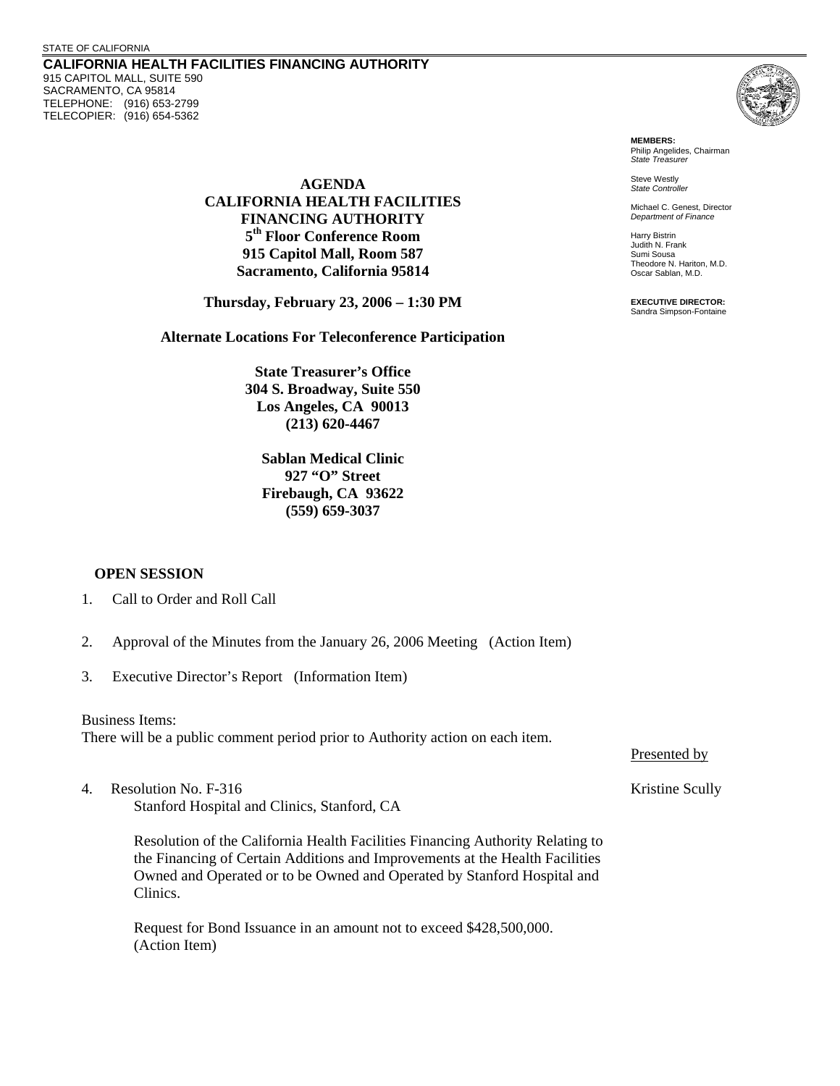## STATE OF CALIFORNIA

**CALIFORNIA HEALTH FACILITIES FINANCING AUTHORITY**  915 CAPITOL MALL, SUITE 590 SACRAMENTO, CA 95814 TELEPHONE: (916) 653-2799 TELECOPIER: (916) 654-5362



**MEMBERS:** Philip Angelides, Chairman *State Treasurer*

Steve Westly *State Controller* 

Michael C. Genest, Director *Department of Finance*

Harry Bistrin Judith N. Frank Sumi Sousa Theodore N. Hariton, M.D. Oscar Sablan, M.D.

**EXECUTIVE DIRECTOR:** Sandra Simpson-Fontaine

**AGENDA CALIFORNIA HEALTH FACILITIES FINANCING AUTHORITY 5th Floor Conference Room 915 Capitol Mall, Room 587 Sacramento, California 95814** 

**Thursday, February 23, 2006 – 1:30 PM** 

**Alternate Locations For Teleconference Participation** 

**State Treasurer's Office 304 S. Broadway, Suite 550 Los Angeles, CA 90013 (213) 620-4467** 

**Sablan Medical Clinic 927 "O" Street Firebaugh, CA 93622 (559) 659-3037** 

## **OPEN SESSION**

- 1. Call to Order and Roll Call
- 2. Approval of the Minutes from the January 26, 2006 Meeting (Action Item)
- 3. Executive Director's Report (Information Item)

Business Items: There will be a public comment period prior to Authority action on each item.

4. Resolution No. F-316 Security 1. The Scully School Scully Kristine Scully Kristine Scully Stanford Hospital and Clinics, Stanford, CA

Resolution of the California Health Facilities Financing Authority Relating to the Financing of Certain Additions and Improvements at the Health Facilities Owned and Operated or to be Owned and Operated by Stanford Hospital and Clinics.

Request for Bond Issuance in an amount not to exceed \$428,500,000. (Action Item)

Presented by